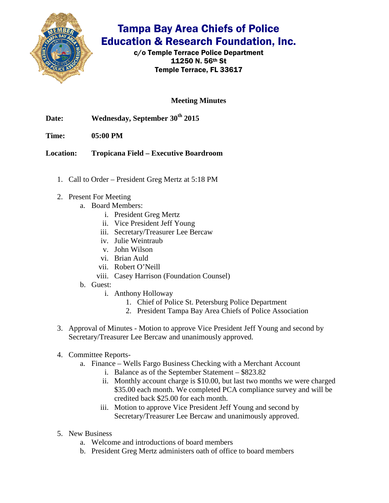

## Tampa Bay Area Chiefs of Police Education & Research Foundation, Inc.

c/o Temple Terrace Police Department 11250 N. 56th St Temple Terrace, FL 33617

**Meeting Minutes**

- Date: Wednesday, September 30<sup>th</sup> 2015
- **Time: 05:00 PM**

**Location: Tropicana Field – Executive Boardroom** 

- 1. Call to Order President Greg Mertz at 5:18 PM
- 2. Present For Meeting
	- a. Board Members:
		- i. President Greg Mertz
		- ii. Vice President Jeff Young
		- iii. Secretary/Treasurer Lee Bercaw
		- iv. Julie Weintraub
		- v. John Wilson
		- vi. Brian Auld
		- vii. Robert O'Neill
		- viii. Casey Harrison (Foundation Counsel)
	- b. Guest:
		- i. Anthony Holloway
			- 1. Chief of Police St. Petersburg Police Department
			- 2. President Tampa Bay Area Chiefs of Police Association
- 3. Approval of Minutes Motion to approve Vice President Jeff Young and second by Secretary/Treasurer Lee Bercaw and unanimously approved.
- 4. Committee Reports
	- a. Finance Wells Fargo Business Checking with a Merchant Account
		- i. Balance as of the September Statement \$823.82
		- ii. Monthly account charge is \$10.00, but last two months we were charged \$35.00 each month. We completed PCA compliance survey and will be credited back \$25.00 for each month.
		- iii. Motion to approve Vice President Jeff Young and second by Secretary/Treasurer Lee Bercaw and unanimously approved.
- 5. New Business
	- a. Welcome and introductions of board members
	- b. President Greg Mertz administers oath of office to board members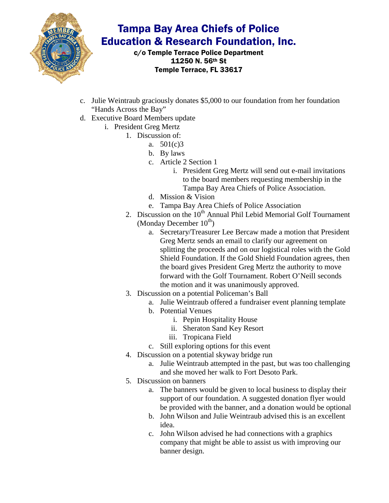

## Tampa Bay Area Chiefs of Police Education & Research Foundation, Inc.

c/o Temple Terrace Police Department 11250 N. 56th St Temple Terrace, FL 33617

- c. Julie Weintraub graciously donates \$5,000 to our foundation from her foundation "Hands Across the Bay"
- d. Executive Board Members update
	- i. President Greg Mertz
		- 1. Discussion of:
			- a. 501(c)3
			- b. By laws
			- c. Article 2 Section 1
				- i. President Greg Mertz will send out e-mail invitations to the board members requesting membership in the Tampa Bay Area Chiefs of Police Association.
			- d. Mission & Vision
			- e. Tampa Bay Area Chiefs of Police Association
		- 2. Discussion on the  $10<sup>th</sup>$  Annual Phil Lebid Memorial Golf Tournament (Monday December  $10^{th}$ )
			- a. Secretary/Treasurer Lee Bercaw made a motion that President Greg Mertz sends an email to clarify our agreement on splitting the proceeds and on our logistical roles with the Gold Shield Foundation. If the Gold Shield Foundation agrees, then the board gives President Greg Mertz the authority to move forward with the Golf Tournament. Robert O'Neill seconds the motion and it was unanimously approved.
		- 3. Discussion on a potential Policeman's Ball
			- a. Julie Weintraub offered a fundraiser event planning template
			- b. Potential Venues
				- i. Pepin Hospitality House
				- ii. Sheraton Sand Key Resort
				- iii. Tropicana Field
			- c. Still exploring options for this event
		- 4. Discussion on a potential skyway bridge run
			- a. Julie Weintraub attempted in the past, but was too challenging and she moved her walk to Fort Desoto Park.
		- 5. Discussion on banners
			- a. The banners would be given to local business to display their support of our foundation. A suggested donation flyer would be provided with the banner, and a donation would be optional
			- b. John Wilson and Julie Weintraub advised this is an excellent idea.
			- c. John Wilson advised he had connections with a graphics company that might be able to assist us with improving our banner design.